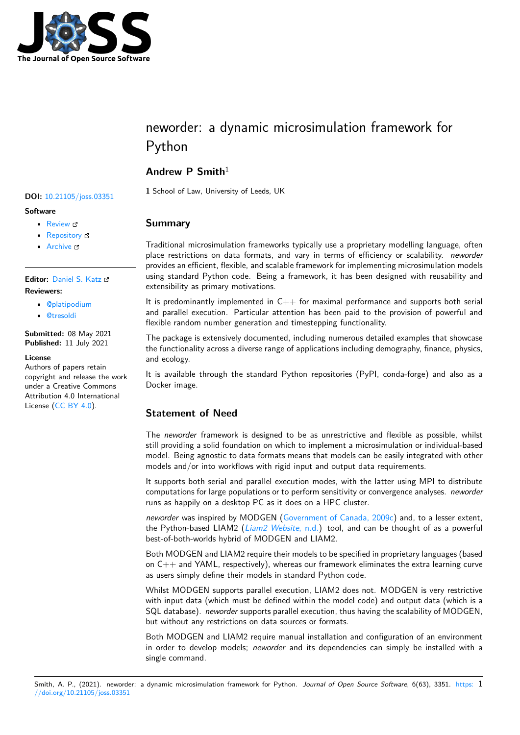

# neworder: a dynamic microsimulation framework for Python

# **Andrew P Smith**<sup>1</sup>

**<sup>1</sup>** School of Law, University of Leeds, UK **DOI:** 10.21105/joss.03351

#### **Software**

- Review C
- [Repository](https://doi.org/10.21105/joss.03351) &
- Archive

#### **Editor:** [Daniel S.](https://github.com/virgesmith/neworder) Katz **Revie[wers:](https://doi.org/10.5281/zenodo.5090120)**

- @platipodium
- @[tresoldi](http://danielskatz.org/)

**Submitted:** 08 May 2021 **Published:** [11 July](https://github.com/platipodium) 2021

#### **Licen[se](https://github.com/tresoldi)**

Authors of papers retain copyright and release the work under a Creative Commons Attribution 4.0 International License (CC BY 4.0).

## **Summary**

Traditional microsimulation frameworks typically use a proprietary modelling language, often place restrictions on data formats, and vary in terms of efficiency or scalability. *neworder* provides an efficient, flexible, and scalable framework for implementing microsimulation models using standard Python code. Being a framework, it has been designed with reusability and extensibility as primary motivations.

It is predominantly implemented in  $C++$  for maximal performance and supports both serial and parallel execution. Particular attention has been paid to the provision of powerful and flexible random number generation and timestepping functionality.

The package is extensively documented, including numerous detailed examples that showcase the functionality across a diverse range of applications including demography, finance, physics, and ecology.

It is available through the standard Python repositories (PyPI, conda-forge) and also as a Docker image.

# **Statement of Need**

The *neworder* framework is designed to be as unrestrictive and flexible as possible, whilst still providing a solid foundation on which to implement a microsimulation or individual-based model. Being agnostic to data formats means that models can be easily integrated with other models and/or into workflows with rigid input and output data requirements.

It supports both serial and parallel execution modes, with the latter using MPI to distribute computations for large populations or to perform sensitivity or convergence analyses. *neworder* runs as happily on a desktop PC as it does on a HPC cluster.

*neworder* was inspired by MODGEN (Government of Canada, 2009c) and, to a lesser extent, the Python-based LIAM2 (*Liam2 Website*, n.d.) tool, and can be thought of as a powerful best-of-both-worlds hybrid of MODGEN and LIAM2.

Both MODGEN and LIAM2 require their models to be specified in proprietary languages (based on  $C_{++}$  and YAML, respectively), w[hereas our framework eliminates](#page-2-0) the extra learning curve as users simply define their [models in standard P](#page-2-1)ython code.

Whilst MODGEN supports parallel execution, LIAM2 does not. MODGEN is very restrictive with input data (which must be defined within the model code) and output data (which is a SQL database). *neworder* supports parallel execution, thus having the scalability of MODGEN, but without any restrictions on data sources or formats.

Both MODGEN and LIAM2 require manual installation and configuration of an environment in order to develop models; *neworder* and its dependencies can simply be installed with a single command.

#### Smith, A. P., (2021). neworder: a dynamic microsimulation framework for Python. *Journal of Open Source Software*, 6(63), 3351. https: 1//doi.org/10.21105/joss.03351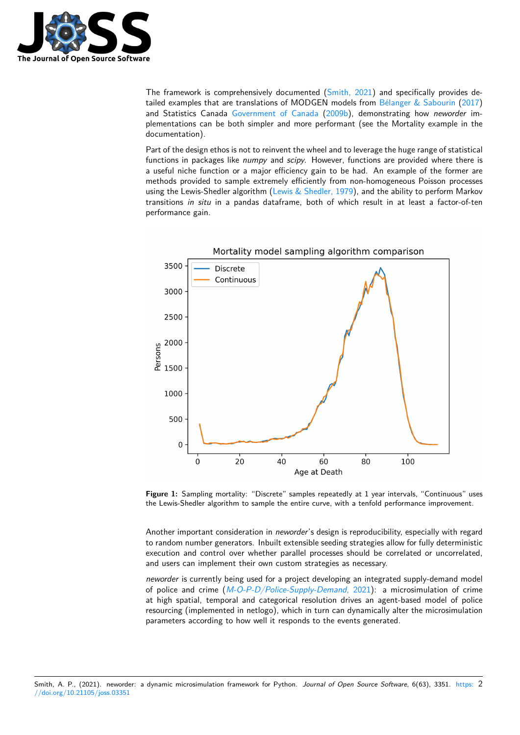

The framework is comprehensively documented (Smith, 2021) and specifically provides detailed examples that are translations of MODGEN models from Bélanger & Sabourin (2017) and Statistics Canada Government of Canada (2009b), demonstrating how *neworder* implementations can be both simpler and more performant (see the Mortality example in the documentation).

Part of the design ethos [is not to reinvent the whe](#page-2-3)el and to leverag[e the huge range of sta](#page-2-2)t[istica](#page-2-2)l functions in packages like *numpy* and *scipy*. Ho[wever, f](#page-2-3)unctions are provided where there is a useful niche function or a major efficiency gain to be had. An example of the former are methods provided to sample extremely efficiently from non-homogeneous Poisson processes using the Lewis-Shedler algorithm (Lewis  $&$  Shedler, 1979), and the ability to perform Markov transitions *in situ* in a pandas dataframe, both of which result in at least a factor-of-ten performance gain.



**Figure 1:** Sampling mortality: "Discrete" samples repeatedly at 1 year intervals, "Continuous" uses the Lewis-Shedler algorithm to sample the entire curve, with a tenfold performance improvement.

Another important consideration in *neworder*'s design is reproducibility, especially with regard to random number generators. Inbuilt extensible seeding strategies allow for fully deterministic execution and control over whether parallel processes should be correlated or uncorrelated, and users can implement their own custom strategies as necessary.

*neworder* is currently being used for a project developing an integrated supply-demand model of police and crime (*M-O-P-D/Police-Supply-Demand*, 2021): a microsimulation of crime at high spatial, temporal and categorical resolution drives an agent-based model of police resourcing (implemented in netlogo), which in turn can dynamically alter the microsimulation parameters according to how well it responds to the events generated.